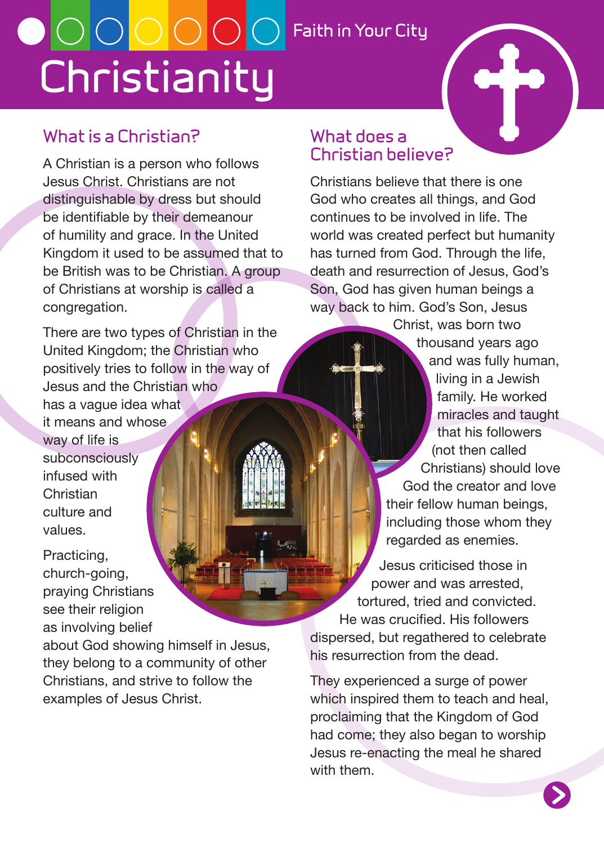# **Christianity Faith in Your City**

# **Christian believe?**

### **What is a Christian?**

A Christian is a person who follows Jesus Christ. Christians are not distinguishable by dress but should be identifiable by their demeanour of humility and grace. In the United Kingdom it used to be assumed that to be British was to be Christian. A group of Christians at worship is called a congregation.

There are two types of Christian in the United Kingdom; the Christian who positively tries to follow in the way of Jesus and the Christian who has a vague idea what it means and whose way of life is subconsciously infused with Christian culture and values.

Practicing, church-going, praying Christians see their religion as involving belief

about God showing himself in Jesus, they belong to a community of other Christians, and strive to follow the examples of Jesus Christ.

Christians believe that there is one God who creates all things, and God continues to be involved in life. The world was created perfect but humanity has turned from God. Through the life, death and resurrection of Jesus, God's Son, God has given human beings a way back to him. God's Son, Jesus

**What does a** 

Christ, was born two thousand years ago and was fully human, living in a Jewish family. He worked miracles and taught that his followers (not then called Christians) should love God the creator and love their fellow human beings, including those whom they regarded as enemies.

Jesus criticised those in power and was arrested, tortured, tried and convicted. He was crucified. His followers dispersed, but regathered to celebrate his resurrection from the dead.

They experienced a surge of power which inspired them to teach and heal, proclaiming that the Kingdom of God had come; they also began to worship Jesus re-enacting the meal he shared with them.